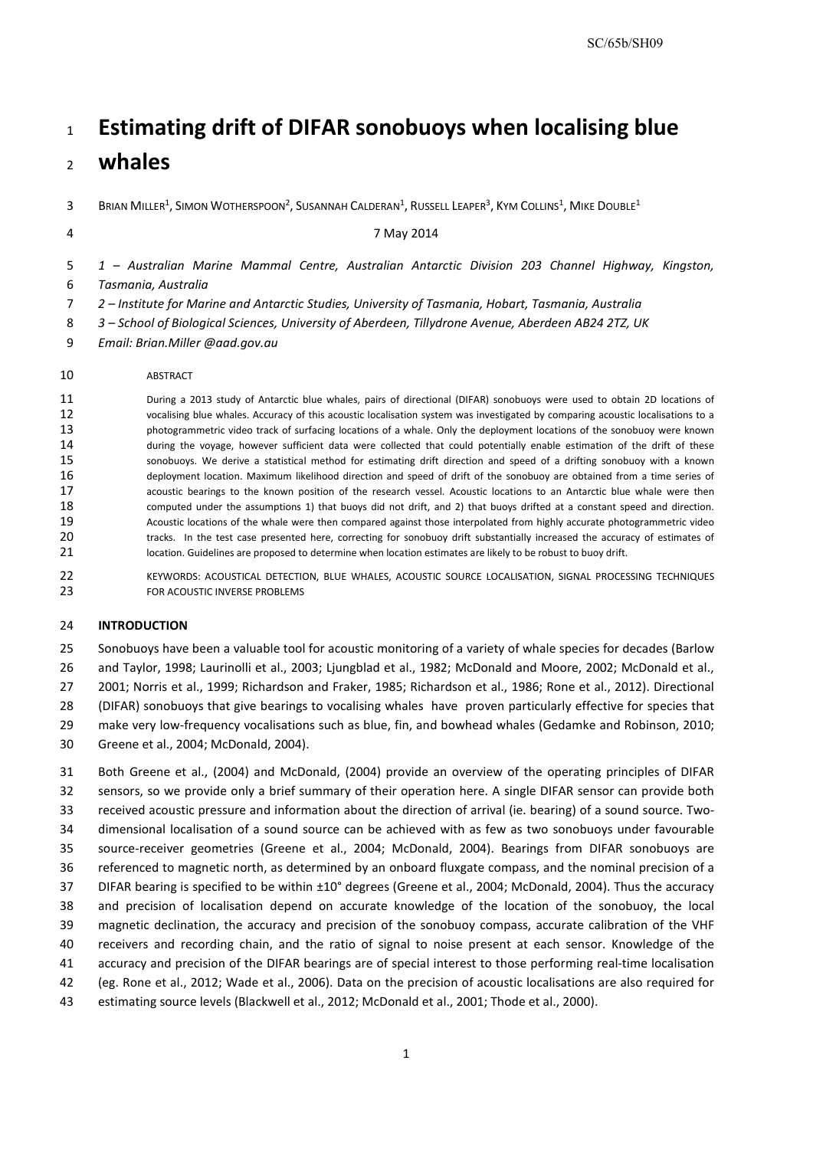# **Estimating drift of DIFAR sonobuoys when localising blue**

# **whales**

 $3-8$ Rian Miller $^1$ , Simon Wotherspoon $^2$ , Susannah Calderan $^1$ , Russell Leaper $^3$ , Kym Collins $^1$ , Mike Double $^1$ 

4 7 May 2014

*1 – Australian Marine Mammal Centre, Australian Antarctic Division 203 Channel Highway, Kingston, Tasmania, Australia*

*2 – Institute for Marine and Antarctic Studies, University of Tasmania, Hobart, Tasmania, Australia* 

*3 – School of Biological Sciences, University of Aberdeen, Tillydrone Avenue, Aberdeen AB24 2TZ, UK*

*Email: Brian.Miller @aad.gov.au*

#### ABSTRACT

11 During a 2013 study of Antarctic blue whales, pairs of directional (DIFAR) sonobuoys were used to obtain 2D locations of<br>12 vocalising blue whales. Accuracy of this acoustic localisation system was investigated by compa vocalising blue whales. Accuracy of this acoustic localisation system was investigated by comparing acoustic localisations to a photogrammetric video track of surfacing locations of a whale. Only the deployment locations of the sonobuoy were known during the voyage, however sufficient data were collected that could potentially enable estimation of the drift of these sonobuoys. We derive a statistical method for estimating drift direction and speed of a drifting sonobuoy with a known deployment location. Maximum likelihood direction and speed of drift of the sonobuoy are obtained from a time series of acoustic bearings to the known position of the research vessel. Acoustic locations to an Antarctic blue whale were then computed under the assumptions 1) that buoys did not drift, and 2) that buoys drifted at a constant speed and direction. Acoustic locations of the whale were then compared against those interpolated from highly accurate photogrammetric video 20 tracks. In the test case presented here, correcting for sonobuoy drift substantially increased the accuracy of estimates of 21 location. Guidelines are proposed to determine when location estimates are likely to be robust to buoy drift.

22 KEYWORDS: ACOUSTICAL DETECTION, BLUE WHALES, ACOUSTIC SOURCE LOCALISATION, SIGNAL PROCESSING TECHNIQUES **FOR ACOUSTIC INVERSE PROBLEMS** 

## **INTRODUCTION**

Sonobuoys have been a valuable tool for acoustic monitoring of a variety of whale species for decades (Barlow

and Taylor, 1998; Laurinolli et al., 2003; Ljungblad et al., 1982; McDonald and Moore, 2002; McDonald et al.,

2001; Norris et al., 1999; Richardson and Fraker, 1985; Richardson et al., 1986; Rone et al., 2012). Directional

(DIFAR) sonobuoys that give bearings to vocalising whales have proven particularly effective for species that

make very low-frequency vocalisations such as blue, fin, and bowhead whales (Gedamke and Robinson, 2010;

Greene et al., 2004; McDonald, 2004).

 Both Greene et al., (2004) and McDonald, (2004) provide an overview of the operating principles of DIFAR sensors, so we provide only a brief summary of their operation here. A single DIFAR sensor can provide both received acoustic pressure and information about the direction of arrival (ie. bearing) of a sound source. Two- dimensional localisation of a sound source can be achieved with as few as two sonobuoys under favourable source-receiver geometries (Greene et al., 2004; McDonald, 2004). Bearings from DIFAR sonobuoys are referenced to magnetic north, as determined by an onboard fluxgate compass, and the nominal precision of a DIFAR bearing is specified to be within ±10° degrees (Greene et al., 2004; McDonald, 2004). Thus the accuracy and precision of localisation depend on accurate knowledge of the location of the sonobuoy, the local magnetic declination, the accuracy and precision of the sonobuoy compass, accurate calibration of the VHF receivers and recording chain, and the ratio of signal to noise present at each sensor. Knowledge of the accuracy and precision of the DIFAR bearings are of special interest to those performing real-time localisation (eg. Rone et al., 2012; Wade et al., 2006). Data on the precision of acoustic localisations are also required for estimating source levels (Blackwell et al., 2012; McDonald et al., 2001; Thode et al., 2000).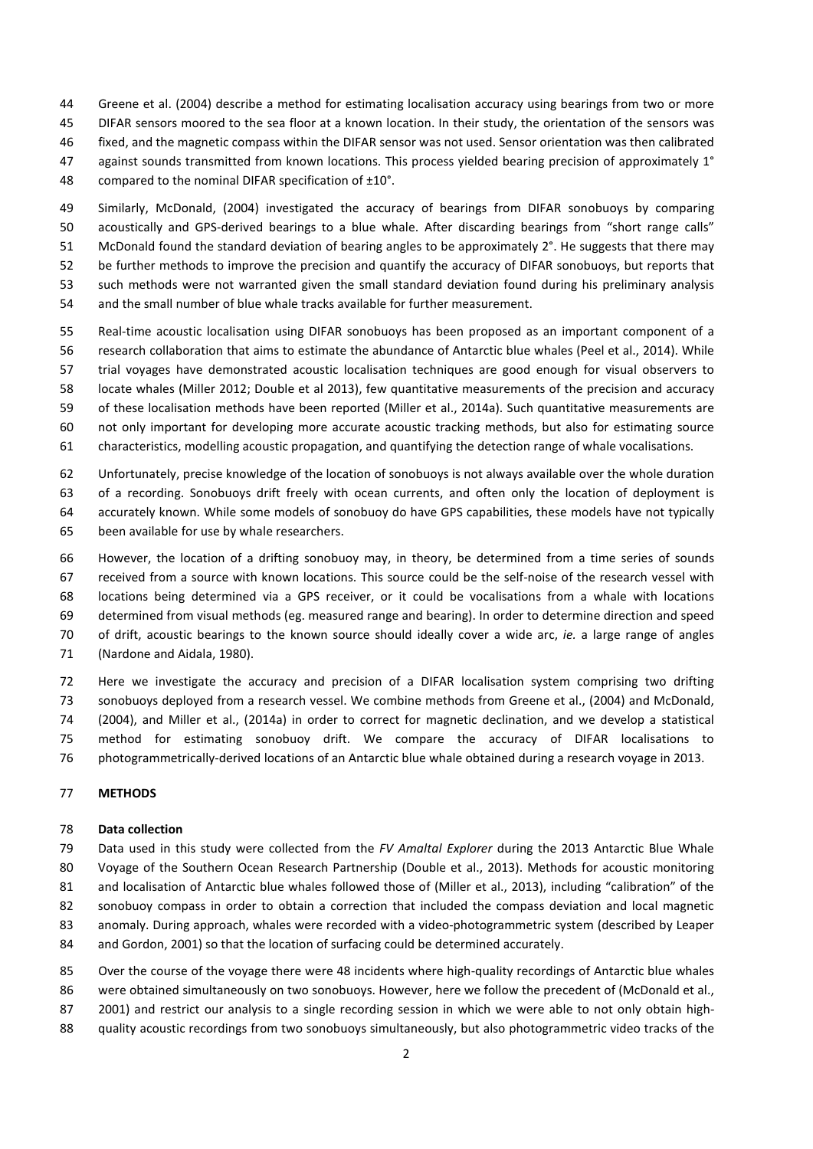- Greene et al. (2004) describe a method for estimating localisation accuracy using bearings from two or more
- DIFAR sensors moored to the sea floor at a known location. In their study, the orientation of the sensors was
- fixed, and the magnetic compass within the DIFAR sensor was not used. Sensor orientation was then calibrated
- 47 against sounds transmitted from known locations. This process yielded bearing precision of approximately 1°
- compared to the nominal DIFAR specification of ±10°.
- Similarly, McDonald, (2004) investigated the accuracy of bearings from DIFAR sonobuoys by comparing acoustically and GPS-derived bearings to a blue whale. After discarding bearings from "short range calls" McDonald found the standard deviation of bearing angles to be approximately 2°. He suggests that there may be further methods to improve the precision and quantify the accuracy of DIFAR sonobuoys, but reports that such methods were not warranted given the small standard deviation found during his preliminary analysis
- and the small number of blue whale tracks available for further measurement.
- Real-time acoustic localisation using DIFAR sonobuoys has been proposed as an important component of a
- research collaboration that aims to estimate the abundance of Antarctic blue whales (Peel et al., 2014). While trial voyages have demonstrated acoustic localisation techniques are good enough for visual observers to
- locate whales (Miller 2012; Double et al 2013), few quantitative measurements of the precision and accuracy
- of these localisation methods have been reported (Miller et al., 2014a). Such quantitative measurements are
- not only important for developing more accurate acoustic tracking methods, but also for estimating source
- characteristics, modelling acoustic propagation, and quantifying the detection range of whale vocalisations.
- Unfortunately, precise knowledge of the location of sonobuoys is not always available over the whole duration
- of a recording. Sonobuoys drift freely with ocean currents, and often only the location of deployment is
- accurately known. While some models of sonobuoy do have GPS capabilities, these models have not typically
- been available for use by whale researchers.
- However, the location of a drifting sonobuoy may, in theory, be determined from a time series of sounds received from a source with known locations. This source could be the self-noise of the research vessel with locations being determined via a GPS receiver, or it could be vocalisations from a whale with locations determined from visual methods (eg. measured range and bearing). In order to determine direction and speed of drift, acoustic bearings to the known source should ideally cover a wide arc, *ie.* a large range of angles (Nardone and Aidala, 1980).
- Here we investigate the accuracy and precision of a DIFAR localisation system comprising two drifting sonobuoys deployed from a research vessel. We combine methods from Greene et al., (2004) and McDonald, (2004), and Miller et al., (2014a) in order to correct for magnetic declination, and we develop a statistical method for estimating sonobuoy drift. We compare the accuracy of DIFAR localisations to photogrammetrically-derived locations of an Antarctic blue whale obtained during a research voyage in 2013.

# **METHODS**

# **Data collection**

- Data used in this study were collected from the *FV Amaltal Explorer* during the 2013 Antarctic Blue Whale Voyage of the Southern Ocean Research Partnership (Double et al., 2013). Methods for acoustic monitoring 81 and localisation of Antarctic blue whales followed those of (Miller et al., 2013), including "calibration" of the
- sonobuoy compass in order to obtain a correction that included the compass deviation and local magnetic
- anomaly. During approach, whales were recorded with a video-photogrammetric system (described by Leaper
- and Gordon, 2001) so that the location of surfacing could be determined accurately.
- Over the course of the voyage there were 48 incidents where high-quality recordings of Antarctic blue whales
- 86 were obtained simultaneously on two sonobuoys. However, here we follow the precedent of (McDonald et al.,
- 2001) and restrict our analysis to a single recording session in which we were able to not only obtain high-
- quality acoustic recordings from two sonobuoys simultaneously, but also photogrammetric video tracks of the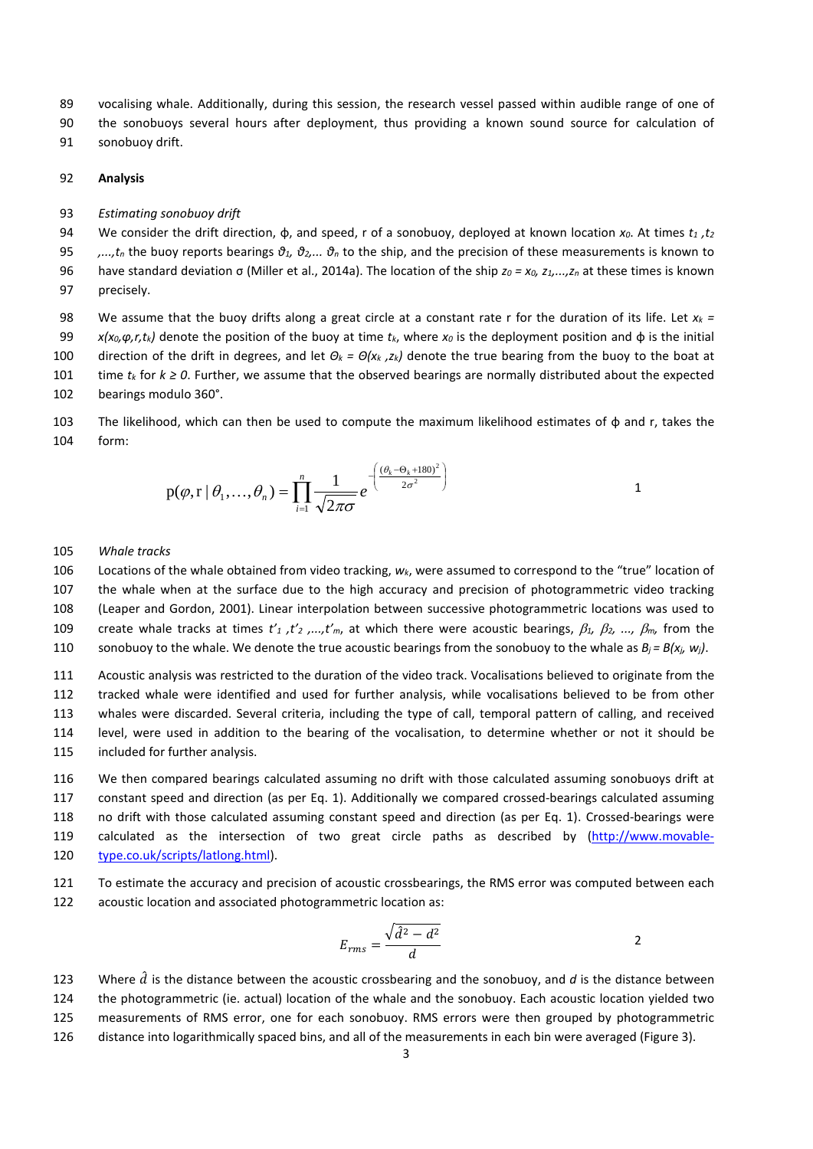vocalising whale. Additionally, during this session, the research vessel passed within audible range of one of

the sonobuoys several hours after deployment, thus providing a known sound source for calculation of

sonobuoy drift.

### **Analysis**

*Estimating sonobuoy drift* 

We consider the drift direction, φ, and speed, r of a sonobuoy, deployed at known location *x0*. At times *t1 ,t2*

*,...,tn* the buoy reports bearings *θ1, θ2,... θ<sup>n</sup>* to the ship, and the precision of these measurements is known to

have standard deviation σ (Miller et al., 2014a). The location of the ship *z0 = x0, z1,...,zn* at these times is known

precisely.

98 We assume that the buoy drifts along a great circle at a constant rate r for the duration of its life. Let  $x_k =$  *x(x0,φ,r,tk)* denote the position of the buoy at time *tk*, where *x0* is the deployment position and φ is the initial direction of the drift in degrees, and let *Θ<sup>k</sup> = Θ(x<sup>k</sup> ,zk)* denote the true bearing from the buoy to the boat at time *tk* for *k ≥ 0*. Further, we assume that the observed bearings are normally distributed about the expected bearings modulo 360°.

 The likelihood, which can then be used to compute the maximum likelihood estimates of φ and r, takes the form:

$$
p(\varphi, r \mid \theta_1, \dots, \theta_n) = \prod_{i=1}^n \frac{1}{\sqrt{2\pi\sigma}} e^{-\left(\frac{(\theta_k - \theta_k + 180)^2}{2\sigma^2}\right)}
$$

#### *Whale tracks*

 Locations of the whale obtained from video tracking, *wk*, were assumed to correspond to the "true" location of the whale when at the surface due to the high accuracy and precision of photogrammetric video tracking (Leaper and Gordon, 2001). Linear interpolation between successive photogrammetric locations was used to create whale tracks at times *t'1 ,t'2 ,...,t'm*, at which there were acoustic bearings, β*1,* β*2, ...,* β*m,* from the 110 sonobuoy to the whale. We denote the true acoustic bearings from the sonobuoy to the whale as  $B_j = B(x_j, w_j)$ .

 Acoustic analysis was restricted to the duration of the video track. Vocalisations believed to originate from the tracked whale were identified and used for further analysis, while vocalisations believed to be from other whales were discarded. Several criteria, including the type of call, temporal pattern of calling, and received level, were used in addition to the bearing of the vocalisation, to determine whether or not it should be included for further analysis.

 We then compared bearings calculated assuming no drift with those calculated assuming sonobuoys drift at constant speed and direction (as per Eq. 1). Additionally we compared crossed-bearings calculated assuming no drift with those calculated assuming constant speed and direction (as per Eq. 1). Crossed-bearings were 119 calculated as the intersection of two great circle paths as described by [\(http://www.movable](http://www.movable-type.co.uk/scripts/latlong.html)[type.co.uk/scripts/latlong.html\)](http://www.movable-type.co.uk/scripts/latlong.html).

 To estimate the accuracy and precision of acoustic crossbearings, the RMS error was computed between each acoustic location and associated photogrammetric location as:

$$
E_{rms} = \frac{\sqrt{d^2 - d^2}}{d}
$$

123 Where  $\hat{d}$  is the distance between the acoustic crossbearing and the sonobuoy, and *d* is the distance between the photogrammetric (ie. actual) location of the whale and the sonobuoy. Each acoustic location yielded two measurements of RMS error, one for each sonobuoy. RMS errors were then grouped by photogrammetric distance into logarithmically spaced bins, and all of the measurements in each bin were averaged [\(Figure 3\)](#page-5-0).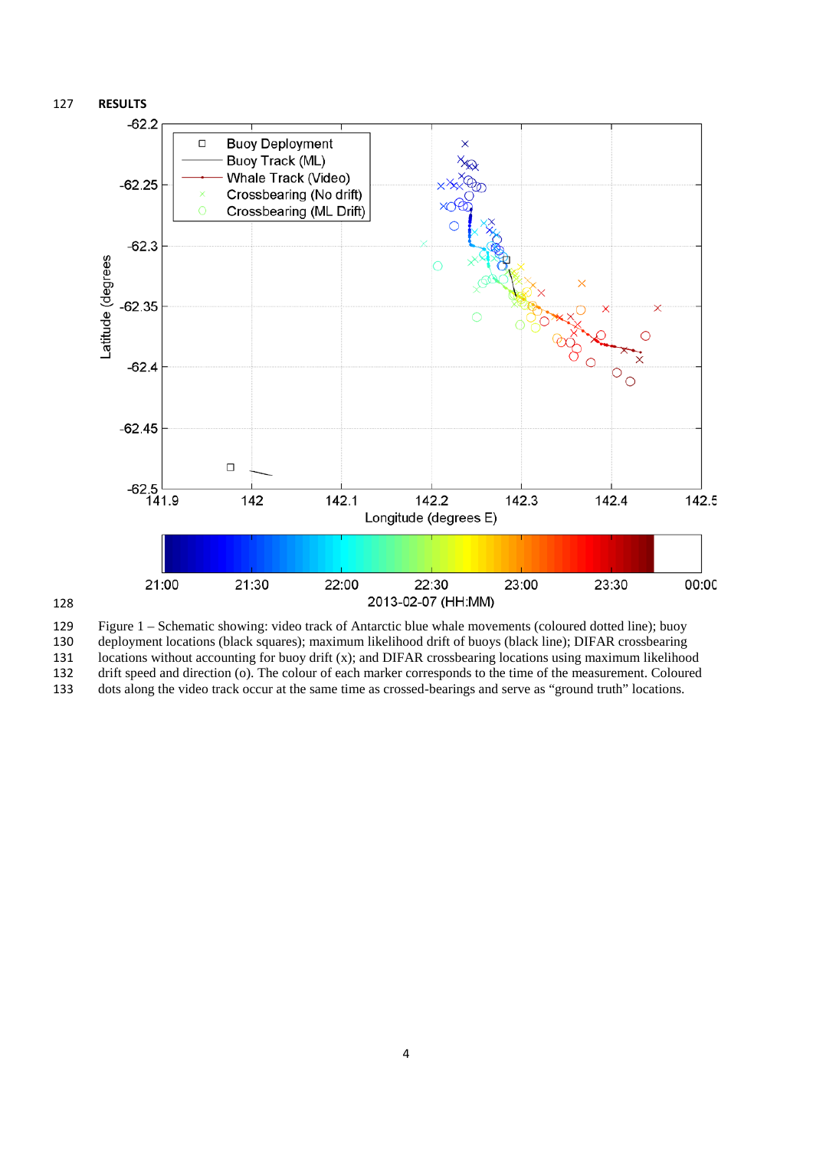

 Figure 1 – Schematic showing: video track of Antarctic blue whale movements (coloured dotted line); buoy deployment locations (black squares); maximum likelihood drift of buoys (black line); DIFAR crossbearing locations without accounting for buoy drift (x); and DIFAR crossbearing locations using maximum likelihood drift speed and direction (o). The colour of each marker corresponds to the time of the measurement. Coloured

dots along the video track occur at the same time as crossed-bearings and serve as "ground truth" locations.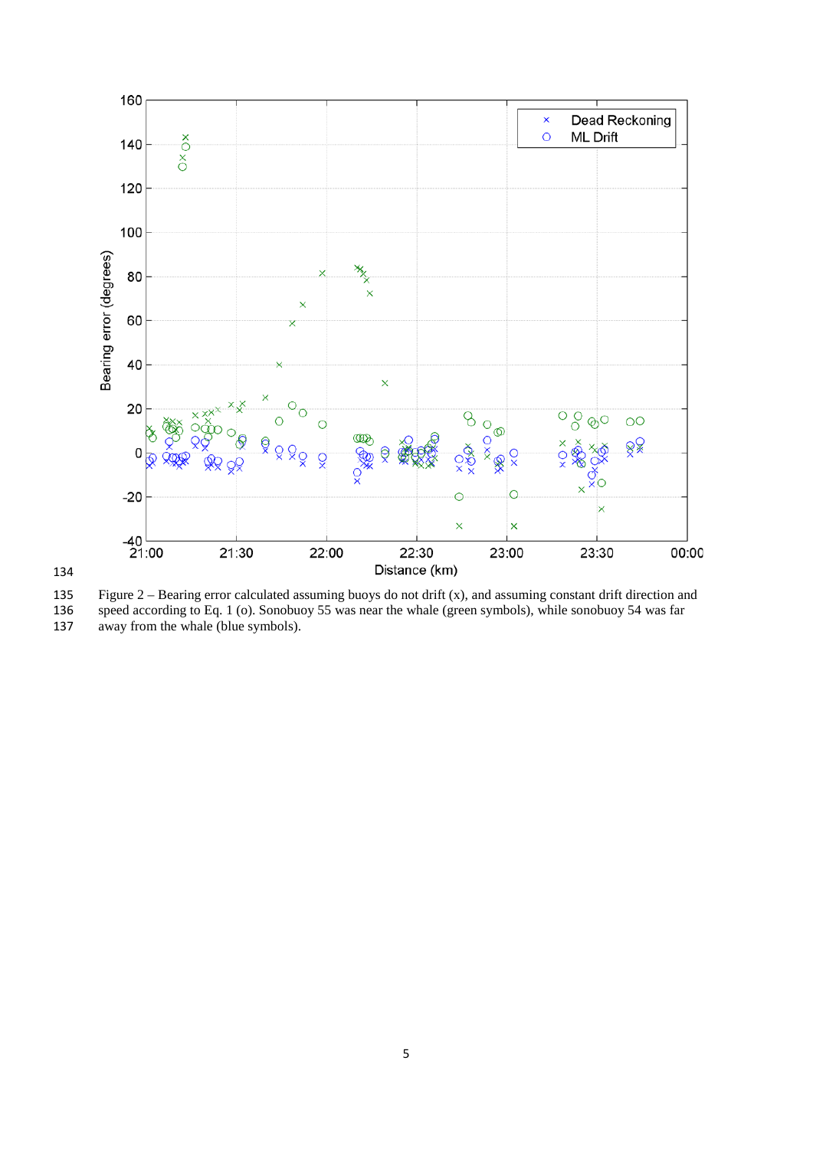

134

<span id="page-4-0"></span>

135 Figure 2 – Bearing error calculated assuming buoys do not drift  $(x)$ , and assuming constant drift direction and speed according to Eq. 1 (o). Sonobuoy 55 was near the whale (green symbols), while sonobuoy 54 was far 136 speed according to Eq. 1 (o). Sonobuoy 55 was near the whale (green symbols), while sonobuoy 54 was far away from the whale (blue symbols). away from the whale (blue symbols).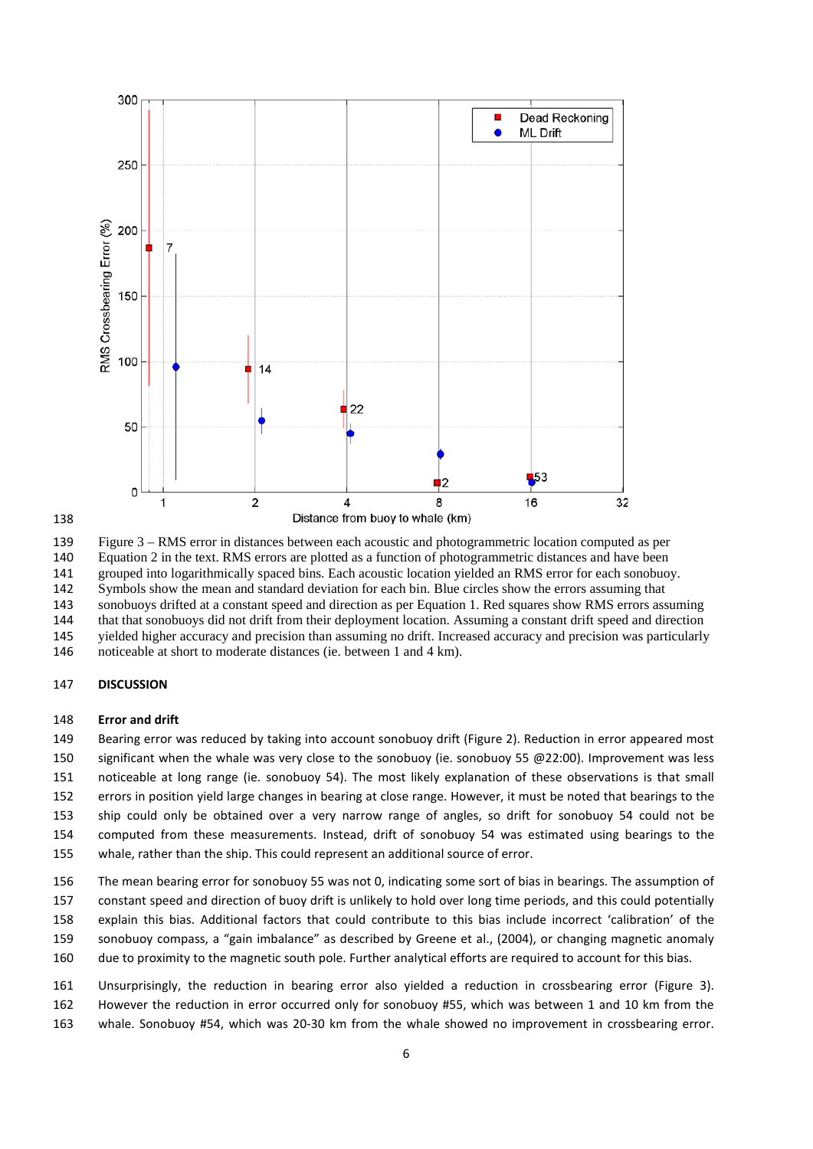

#### 

<span id="page-5-0"></span>Figure 3 – RMS error in distances between each acoustic and photogrammetric location computed as per

Equation 2 in the text. RMS errors are plotted as a function of photogrammetric distances and have been

grouped into logarithmically spaced bins. Each acoustic location yielded an RMS error for each sonobuoy.

 Symbols show the mean and standard deviation for each bin. Blue circles show the errors assuming that sonobuoys drifted at a constant speed and direction as per Equation 1. Red squares show RMS errors assuming

that that sonobuoys did not drift from their deployment location. Assuming a constant drift speed and direction

yielded higher accuracy and precision than assuming no drift. Increased accuracy and precision was particularly

noticeable at short to moderate distances (ie. between 1 and 4 km).

# **DISCUSSION**

#### **Error and drift**

 Bearing error was reduced by taking into account sonobuoy drift [\(Figure 2\)](#page-4-0). Reduction in error appeared most 150 significant when the whale was very close to the sonobuoy (ie. sonobuoy 55 @22:00). Improvement was less noticeable at long range (ie. sonobuoy 54). The most likely explanation of these observations is that small errors in position yield large changes in bearing at close range. However, it must be noted that bearings to the ship could only be obtained over a very narrow range of angles, so drift for sonobuoy 54 could not be computed from these measurements. Instead, drift of sonobuoy 54 was estimated using bearings to the

whale, rather than the ship. This could represent an additional source of error.

 The mean bearing error for sonobuoy 55 was not 0, indicating some sort of bias in bearings. The assumption of constant speed and direction of buoy drift is unlikely to hold over long time periods, and this could potentially

- explain this bias. Additional factors that could contribute to this bias include incorrect 'calibration' of the
- sonobuoy compass, a "gain imbalance" as described by Greene et al., (2004), or changing magnetic anomaly
- due to proximity to the magnetic south pole. Further analytical efforts are required to account for this bias.

 Unsurprisingly, the reduction in bearing error also yielded a reduction in crossbearing error [\(Figure 3\)](#page-5-0). However the reduction in error occurred only for sonobuoy #55, which was between 1 and 10 km from the whale. Sonobuoy #54, which was 20-30 km from the whale showed no improvement in crossbearing error.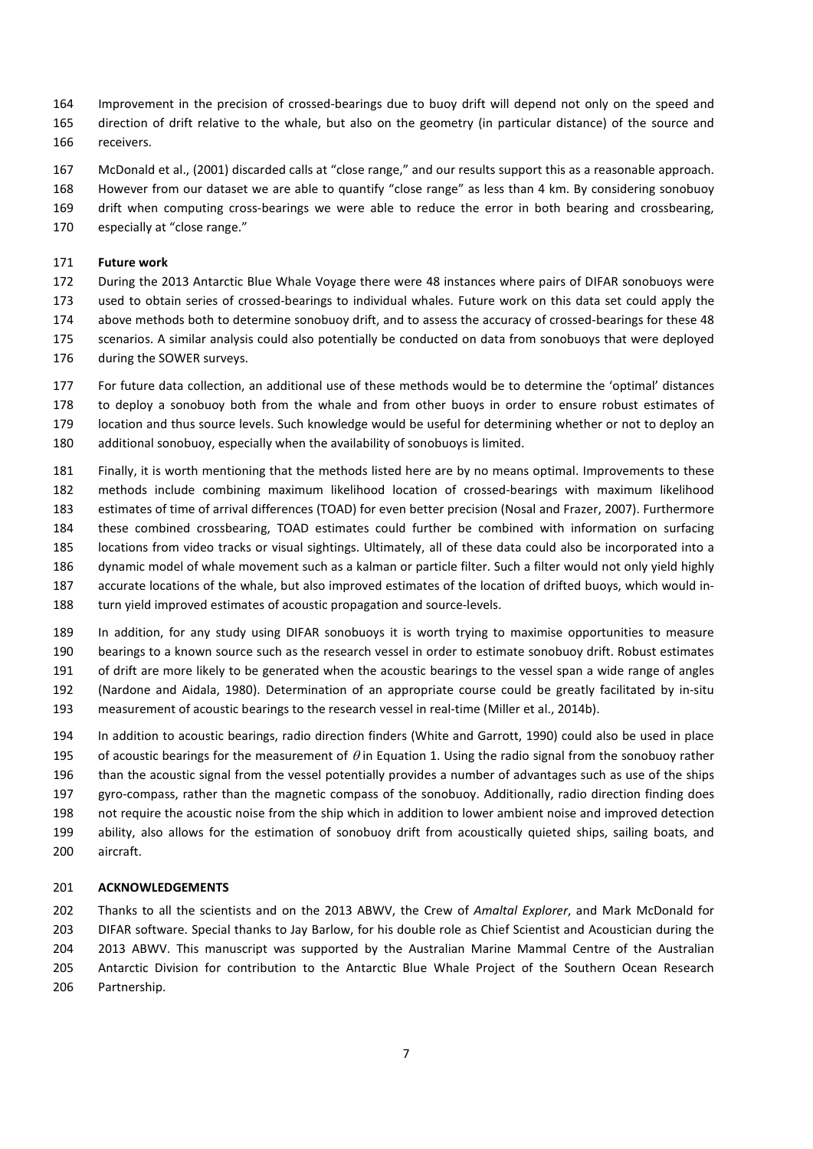- Improvement in the precision of crossed-bearings due to buoy drift will depend not only on the speed and
- direction of drift relative to the whale, but also on the geometry (in particular distance) of the source and receivers.
- McDonald et al., (2001) discarded calls at "close range," and our results support this as a reasonable approach. However from our dataset we are able to quantify "close range" as less than 4 km. By considering sonobuoy
- drift when computing cross-bearings we were able to reduce the error in both bearing and crossbearing,
- especially at "close range."

# **Future work**

 During the 2013 Antarctic Blue Whale Voyage there were 48 instances where pairs of DIFAR sonobuoys were used to obtain series of crossed-bearings to individual whales. Future work on this data set could apply the 174 above methods both to determine sonobuoy drift, and to assess the accuracy of crossed-bearings for these 48 scenarios. A similar analysis could also potentially be conducted on data from sonobuoys that were deployed during the SOWER surveys.

- For future data collection, an additional use of these methods would be to determine the 'optimal' distances to deploy a sonobuoy both from the whale and from other buoys in order to ensure robust estimates of location and thus source levels. Such knowledge would be useful for determining whether or not to deploy an additional sonobuoy, especially when the availability of sonobuoys is limited.
- Finally, it is worth mentioning that the methods listed here are by no means optimal. Improvements to these methods include combining maximum likelihood location of crossed-bearings with maximum likelihood estimates of time of arrival differences (TOAD) for even better precision (Nosal and Frazer, 2007). Furthermore these combined crossbearing, TOAD estimates could further be combined with information on surfacing locations from video tracks or visual sightings. Ultimately, all of these data could also be incorporated into a dynamic model of whale movement such as a kalman or particle filter. Such a filter would not only yield highly accurate locations of the whale, but also improved estimates of the location of drifted buoys, which would in-turn yield improved estimates of acoustic propagation and source-levels.
- In addition, for any study using DIFAR sonobuoys it is worth trying to maximise opportunities to measure bearings to a known source such as the research vessel in order to estimate sonobuoy drift. Robust estimates of drift are more likely to be generated when the acoustic bearings to the vessel span a wide range of angles (Nardone and Aidala, 1980). Determination of an appropriate course could be greatly facilitated by in-situ measurement of acoustic bearings to the research vessel in real-time (Miller et al., 2014b).
- In addition to acoustic bearings, radio direction finders (White and Garrott, 1990) could also be used in place 195 of acoustic bearings for the measurement of  $\theta$  in Equation 1. Using the radio signal from the sonobuoy rather than the acoustic signal from the vessel potentially provides a number of advantages such as use of the ships gyro-compass, rather than the magnetic compass of the sonobuoy. Additionally, radio direction finding does not require the acoustic noise from the ship which in addition to lower ambient noise and improved detection ability, also allows for the estimation of sonobuoy drift from acoustically quieted ships, sailing boats, and aircraft.

# **ACKNOWLEDGEMENTS**

 Thanks to all the scientists and on the 2013 ABWV, the Crew of *Amaltal Explorer*, and Mark McDonald for DIFAR software. Special thanks to Jay Barlow, for his double role as Chief Scientist and Acoustician during the 2013 ABWV. This manuscript was supported by the Australian Marine Mammal Centre of the Australian Antarctic Division for contribution to the Antarctic Blue Whale Project of the Southern Ocean Research Partnership.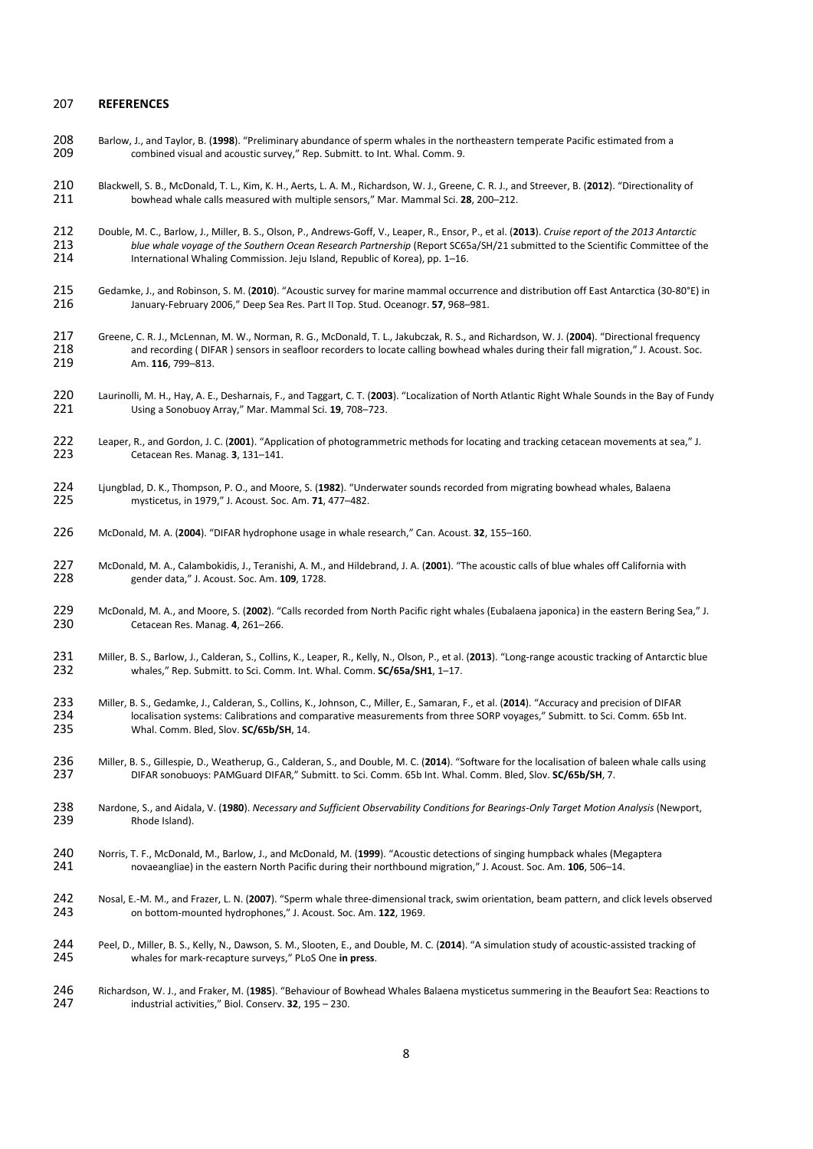#### **REFERENCES**

- Barlow, J., and Taylor, B. (**1998**). "Preliminary abundance of sperm whales in the northeastern temperate Pacific estimated from a combined visual and acoustic survey," Rep. Submitt. to Int. Whal. Comm. 9.
- Blackwell, S. B., McDonald, T. L., Kim, K. H., Aerts, L. A. M., Richardson, W. J., Greene, C. R. J., and Streever, B. (**2012**). "Directionality of bowhead whale calls measured with multiple sensors," Mar. Mammal Sci. **28**, 200–212.
- Double, M. C., Barlow, J., Miller, B. S., Olson, P., Andrews-Goff, V., Leaper, R., Ensor, P., et al. (**2013**). *Cruise report of the 2013 Antarctic blue whale voyage of the Southern Ocean Research Partnership* (Report SC65a/SH/21 submitted to the Scientific Committee of the 214 *anternational Whaling Commission. Jeju Island, Republic of Korea), pp. 1–16.* International Whaling Commission. Jeju Island, Republic of Korea), pp. 1–16.
- Gedamke, J., and Robinson, S. M. (**2010**). "Acoustic survey for marine mammal occurrence and distribution off East Antarctica (30-80°E) in January-February 2006," Deep Sea Res. Part II Top. Stud. Oceanogr. **57**, 968–981.
- Greene, C. R. J., McLennan, M. W., Norman, R. G., McDonald, T. L., Jakubczak, R. S., and Richardson, W. J. (**2004**). "Directional frequency 218 and recording ( DIFAR ) sensors in seafloor recorders to locate calling bowhead whales during their fall migration," J. Acoust. Soc.<br>219 Am. 116, 799–813. Am. **116**, 799–813.
- Laurinolli, M. H., Hay, A. E., Desharnais, F., and Taggart, C. T. (**2003**). "Localization of North Atlantic Right Whale Sounds in the Bay of Fundy Using a Sonobuoy Array," Mar. Mammal Sci. **19**, 708–723.
- Leaper, R., and Gordon, J. C. (**2001**). "Application of photogrammetric methods for locating and tracking cetacean movements at sea," J. Cetacean Res. Manag. **3**, 131–141.
- Ljungblad, D. K., Thompson, P. O., and Moore, S. (**1982**). "Underwater sounds recorded from migrating bowhead whales, Balaena mysticetus, in 1979," J. Acoust. Soc. Am. **71**, 477–482.
- McDonald, M. A. (**2004**). "DIFAR hydrophone usage in whale research," Can. Acoust. **32**, 155–160.
- McDonald, M. A., Calambokidis, J., Teranishi, A. M., and Hildebrand, J. A. (**2001**). "The acoustic calls of blue whales off California with gender data," J. Acoust. Soc. Am. **109**, 1728.
- McDonald, M. A., and Moore, S. (**2002**). "Calls recorded from North Pacific right whales (Eubalaena japonica) in the eastern Bering Sea," J. Cetacean Res. Manag. **4**, 261–266.
- 231 Miller, B. S., Barlow, J., Calderan, S., Collins, K., Leaper, R., Kelly, N., Olson, P., et al. (2013). "Long-range acoustic tracking of Antarctic blue<br>232 whales," Rep. Submitt. to Sci. Comm. Int. Whal. Comm. SC/65a/SH whales," Rep. Submitt. to Sci. Comm. Int. Whal. Comm. **SC/65a/SH1**, 1–17.
- Miller, B. S., Gedamke, J., Calderan, S., Collins, K., Johnson, C., Miller, E., Samaran, F., et al. (**2014**). "Accuracy and precision of DIFAR 234 localisation systems: Calibrations and comparative measurements from three SORP voyages," Submitt. to Sci. Comm. 65b Int.<br>235 Whal. Comm. Bled, Slov. SC/65b/SH, 14. Whal. Comm. Bled, Slov. **SC/65b/SH**, 14.
- 236 Miller, B. S., Gillespie, D., Weatherup, G., Calderan, S., and Double, M. C. (2014). "Software for the localisation of baleen whale calls using<br>237 DIFAR sonobuoys: PAMGuard DIFAR." Submitt. to Sci. Comm. 65b Int. Whal DIFAR sonobuoys: PAMGuard DIFAR," Submitt. to Sci. Comm. 65b Int. Whal. Comm. Bled, Slov. **SC/65b/SH**, 7.
- Nardone, S., and Aidala, V. (**1980**). *Necessary and Sufficient Observability Conditions for Bearings-Only Target Motion Analysis* (Newport, Rhode Island).
- Norris, T. F., McDonald, M., Barlow, J., and McDonald, M. (**1999**). "Acoustic detections of singing humpback whales (Megaptera novaeangliae) in the eastern North Pacific during their northbound migration," J. Acoust. Soc. Am. **106**, 506–14.
- Nosal, E.-M. M., and Frazer, L. N. (**2007**). "Sperm whale three-dimensional track, swim orientation, beam pattern, and click levels observed on bottom-mounted hydrophones," J. Acoust. Soc. Am. **122**, 1969.
- 244 Peel, D., Miller, B. S., Kelly, N., Dawson, S. M., Slooten, E., and Double, M. C. (2014). "A simulation study of acoustic-assisted tracking of 245 whales for mark-recapture surveys," PLoS One in press. whales for mark-recapture surveys," PLoS One **in press**.
- Richardson, W. J., and Fraker, M. (**1985**). "Behaviour of Bowhead Whales Balaena mysticetus summering in the Beaufort Sea: Reactions to industrial activities," Biol. Conserv. **32**, 195 – 230.